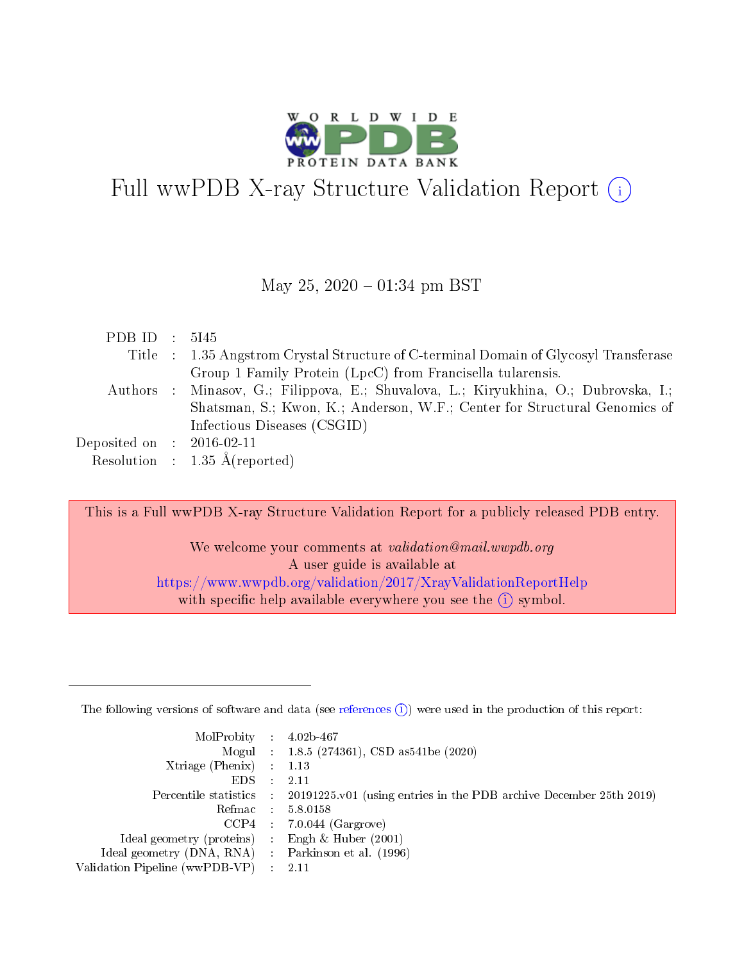

# Full wwPDB X-ray Structure Validation Report (i)

#### May 25,  $2020 - 01:34$  pm BST

| PDB ID : $5I45$             |                                                                                      |
|-----------------------------|--------------------------------------------------------------------------------------|
|                             | Title : 1.35 Angstrom Crystal Structure of C-terminal Domain of Glycosyl Transferase |
|                             | Group 1 Family Protein (LpcC) from Francisella tularensis.                           |
|                             | Authors : Minasov, G.; Filippova, E.; Shuvalova, L.; Kiryukhina, O.; Dubrovska, I.;  |
|                             | Shatsman, S.; Kwon, K.; Anderson, W.F.; Center for Structural Genomics of            |
|                             | Infectious Diseases (CSGID)                                                          |
| Deposited on : $2016-02-11$ |                                                                                      |
|                             | Resolution : $1.35 \text{ Å}$ (reported)                                             |

This is a Full wwPDB X-ray Structure Validation Report for a publicly released PDB entry.

We welcome your comments at *validation@mail.wwpdb.org* A user guide is available at <https://www.wwpdb.org/validation/2017/XrayValidationReportHelp> with specific help available everywhere you see the  $(i)$  symbol.

The following versions of software and data (see [references](https://www.wwpdb.org/validation/2017/XrayValidationReportHelp#references)  $(1)$ ) were used in the production of this report:

| MolProbity : $4.02b-467$                            |                                                                                            |
|-----------------------------------------------------|--------------------------------------------------------------------------------------------|
|                                                     | Mogul : $1.8.5$ (274361), CSD as 541be (2020)                                              |
| Xtriage (Phenix) $: 1.13$                           |                                                                                            |
| $EDS$ :                                             | -2.11                                                                                      |
|                                                     | Percentile statistics : 20191225.v01 (using entries in the PDB archive December 25th 2019) |
| Refmac : 5.8.0158                                   |                                                                                            |
| CCP4                                                | $7.0.044$ (Gargrove)                                                                       |
| Ideal geometry (proteins) :                         | Engh $\&$ Huber (2001)                                                                     |
| Ideal geometry (DNA, RNA) : Parkinson et al. (1996) |                                                                                            |
| Validation Pipeline (wwPDB-VP) : 2.11               |                                                                                            |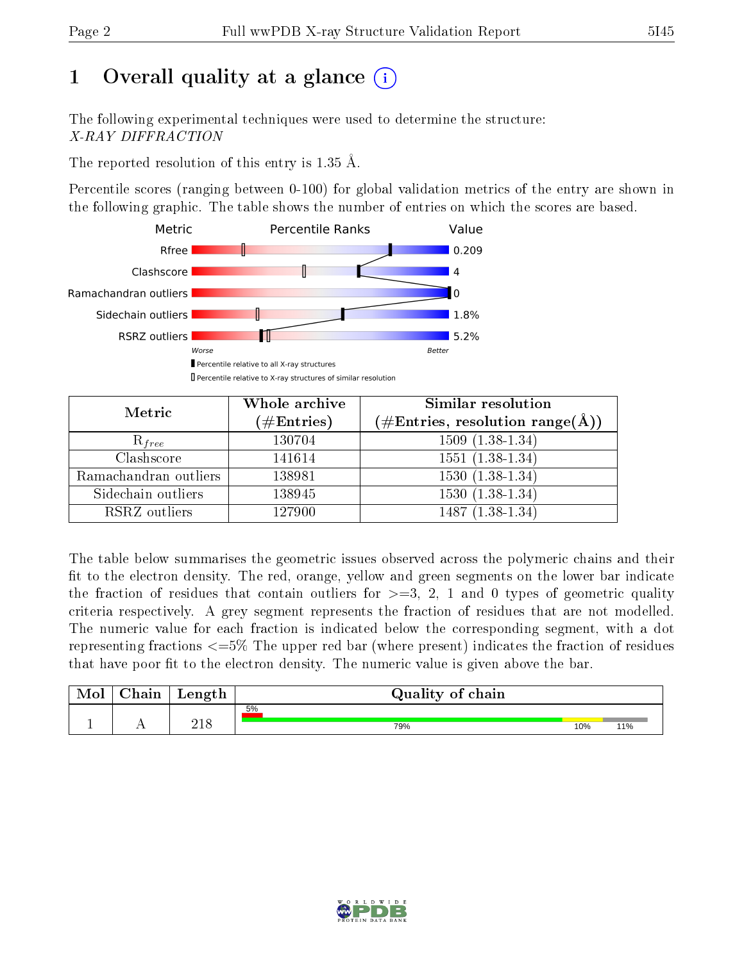# 1 [O](https://www.wwpdb.org/validation/2017/XrayValidationReportHelp#overall_quality)verall quality at a glance  $(i)$

The following experimental techniques were used to determine the structure: X-RAY DIFFRACTION

The reported resolution of this entry is 1.35 Å.

Percentile scores (ranging between 0-100) for global validation metrics of the entry are shown in the following graphic. The table shows the number of entries on which the scores are based.



| Metric                | Whole archive<br>$(\#\mathrm{Entries})$ | Similar resolution<br>$(\#\text{Entries},\,\text{resolution}\,\,\text{range}(\textup{\AA}))$ |  |  |
|-----------------------|-----------------------------------------|----------------------------------------------------------------------------------------------|--|--|
| $R_{free}$            | 130704                                  | $1509(1.38-1.34)$                                                                            |  |  |
| Clashscore            | 141614                                  | $1551(1.38-1.34)$                                                                            |  |  |
| Ramachandran outliers | 138981                                  | $1530(1.38-1.34)$                                                                            |  |  |
| Sidechain outliers    | 138945                                  | $1530(1.38-1.34)$                                                                            |  |  |
| RSRZ outliers         | 127900                                  | $1487(1.38-1.34)$                                                                            |  |  |

The table below summarises the geometric issues observed across the polymeric chains and their fit to the electron density. The red, orange, yellow and green segments on the lower bar indicate the fraction of residues that contain outliers for  $>=3, 2, 1$  and 0 types of geometric quality criteria respectively. A grey segment represents the fraction of residues that are not modelled. The numeric value for each fraction is indicated below the corresponding segment, with a dot representing fractions  $\epsilon=5\%$  The upper red bar (where present) indicates the fraction of residues that have poor fit to the electron density. The numeric value is given above the bar.

| Mol           | $\alpha$ ain | Length | Quality of chain |     |     |
|---------------|--------------|--------|------------------|-----|-----|
|               |              |        | 5%               |     |     |
| <u>. на п</u> | . .          | า 1 0  | 79%              | 10% | 11% |

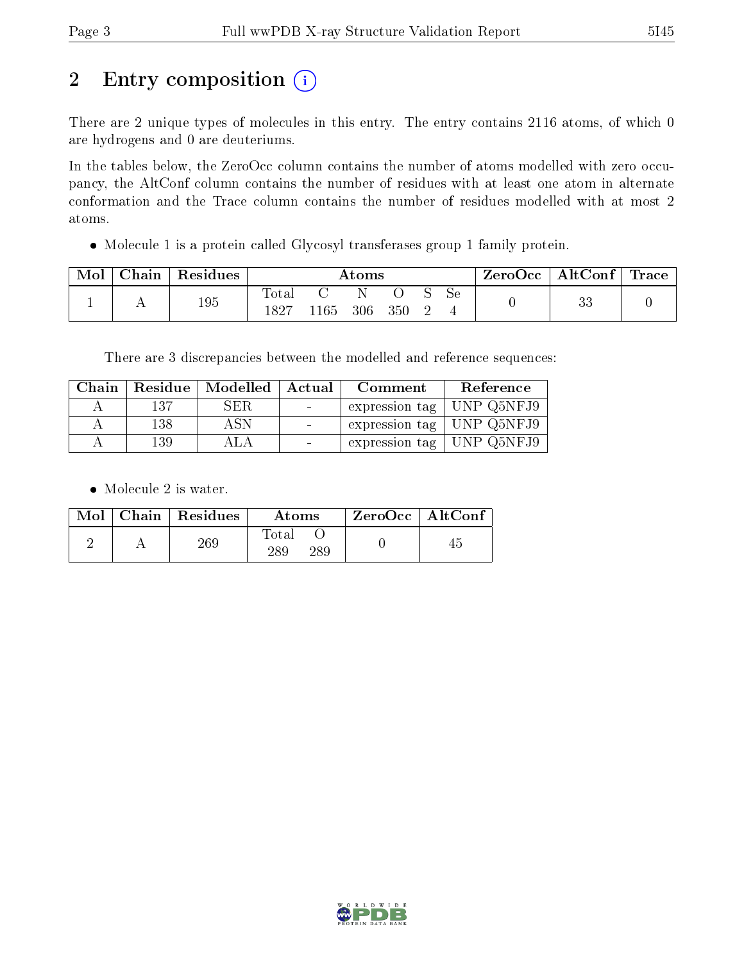# 2 Entry composition (i)

There are 2 unique types of molecules in this entry. The entry contains 2116 atoms, of which 0 are hydrogens and 0 are deuteriums.

In the tables below, the ZeroOcc column contains the number of atoms modelled with zero occupancy, the AltConf column contains the number of residues with at least one atom in alternate conformation and the Trace column contains the number of residues modelled with at most 2 atoms.

Molecule 1 is a protein called Glycosyl transferases group 1 family protein.

| Mol | ${\bf Chain \,\, \,}$ | $\vert$ Residues $\vert$ | $\rm{Atoms}$  |              |  |  | ZeroOcc   AltConf   Trace |     |  |          |  |
|-----|-----------------------|--------------------------|---------------|--------------|--|--|---------------------------|-----|--|----------|--|
|     |                       | 195                      | Total<br>1827 | 1165 306 350 |  |  |                           | Se. |  | ດຕ<br>ಀಀ |  |

There are 3 discrepancies between the modelled and reference sequences:

| Chain |     | Residue   Modelled   Actual |                  | Comment                     | Reference         |
|-------|-----|-----------------------------|------------------|-----------------------------|-------------------|
|       | 137 | SER.                        | $\sim 100$       | expression tag   UNP Q5NFJ9 |                   |
|       | 138 | A SN                        |                  | expression tag   UNP Q5NFJ9 |                   |
|       | 139 |                             | $\sim$ 100 $\pm$ | expression tag              | $\mid$ UNP Q5NFJ9 |

• Molecule 2 is water.

|  | $Mol$   Chain   Residues | Atoms               | $ZeroOcc \mid AltConf \mid$ |
|--|--------------------------|---------------------|-----------------------------|
|  | 269                      | Fotal<br>289<br>289 |                             |

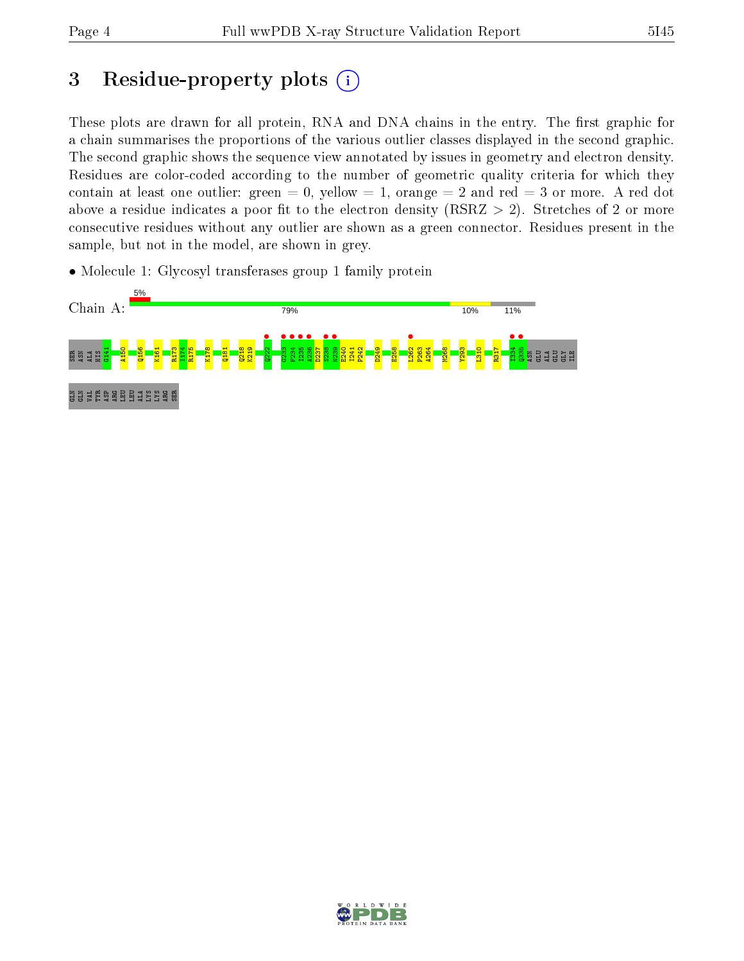# 3 Residue-property plots  $(i)$

These plots are drawn for all protein, RNA and DNA chains in the entry. The first graphic for a chain summarises the proportions of the various outlier classes displayed in the second graphic. The second graphic shows the sequence view annotated by issues in geometry and electron density. Residues are color-coded according to the number of geometric quality criteria for which they contain at least one outlier: green  $= 0$ , yellow  $= 1$ , orange  $= 2$  and red  $= 3$  or more. A red dot above a residue indicates a poor fit to the electron density (RSRZ  $> 2$ ). Stretches of 2 or more consecutive residues without any outlier are shown as a green connector. Residues present in the sample, but not in the model, are shown in grey.

• Molecule 1: Glycosyl transferases group 1 family protein



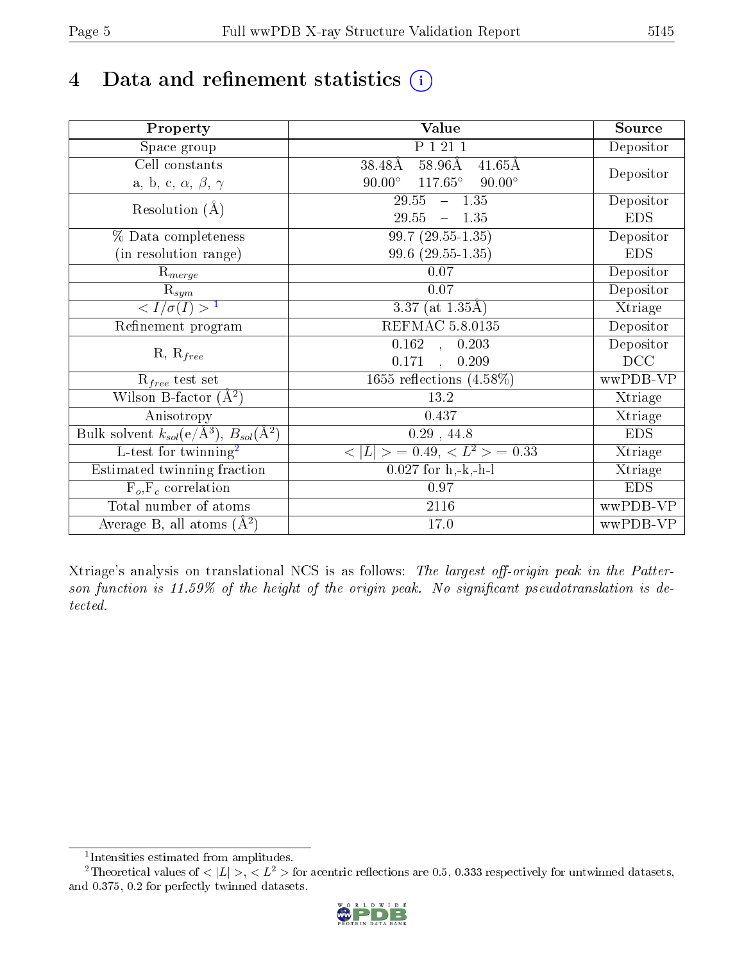# 4 Data and refinement statistics  $(i)$

| Property                                                             | Value                                              | Source     |
|----------------------------------------------------------------------|----------------------------------------------------|------------|
| Space group                                                          | P 1 21 1                                           | Depositor  |
| Cell constants                                                       | $58.96\text{\AA}$<br>38.48Å<br>$41.65\text{\AA}$   |            |
| a, b, c, $\alpha$ , $\beta$ , $\gamma$                               | $117.65^{\circ}$<br>$90.00^\circ$<br>$90.00^\circ$ | Depositor  |
| Resolution $(A)$                                                     | 29.55<br>$-1.35$                                   | Depositor  |
|                                                                      | 29.55<br>$-1.35$                                   | <b>EDS</b> |
| % Data completeness                                                  | $99.7(29.55-1.35)$                                 | Depositor  |
| (in resolution range)                                                | $99.6$ $(29.55-1.35)$                              | <b>EDS</b> |
| $\mathrm{R}_{merge}$                                                 | 0.07                                               | Depositor  |
| $\mathrm{R}_{sym}$                                                   | $0.07\,$                                           | Depositor  |
| $\sqrt{I/\sigma(I)} > 1$                                             | $\overline{3.37}$ (at 1.35Å)                       | Xtriage    |
| Refinement program                                                   | <b>REFMAC 5.8.0135</b>                             | Depositor  |
|                                                                      | $\overline{0.162}$ ,<br>0.203                      | Depositor  |
| $R, R_{free}$                                                        | 0.171<br>0.209<br>$\ddot{\phantom{a}}$             | DCC        |
| $R_{free}$ test set                                                  | 1655 reflections $(4.58\%)$                        | wwPDB-VP   |
| Wilson B-factor $(A^2)$                                              | 13.2                                               | Xtriage    |
| Anisotropy                                                           | 0.437                                              | Xtriage    |
| Bulk solvent $k_{sol}(e/\mathring{A}^3)$ , $B_{sol}(\mathring{A}^2)$ | $0.29$ , 44.8                                      | <b>EDS</b> |
| $\overline{L-test for}$ twinning <sup>2</sup>                        | $< L >$ = 0.49, $< L2$ = 0.33                      | Xtriage    |
| Estimated twinning fraction                                          | $0.027$ for h,-k,-h-l                              | Xtriage    |
| $F_o, F_c$ correlation                                               | 0.97                                               | <b>EDS</b> |
| Total number of atoms                                                | <b>2116</b>                                        | wwPDB-VP   |
| Average B, all atoms $(A^2)$                                         | 17.0                                               | wwPDB-VP   |

Xtriage's analysis on translational NCS is as follows: The largest off-origin peak in the Patterson function is  $11.59\%$  of the height of the origin peak. No significant pseudotranslation is detected.

<sup>&</sup>lt;sup>2</sup>Theoretical values of  $\langle |L| \rangle$ ,  $\langle L^2 \rangle$  for acentric reflections are 0.5, 0.333 respectively for untwinned datasets, and 0.375, 0.2 for perfectly twinned datasets.



<span id="page-4-1"></span><span id="page-4-0"></span><sup>1</sup> Intensities estimated from amplitudes.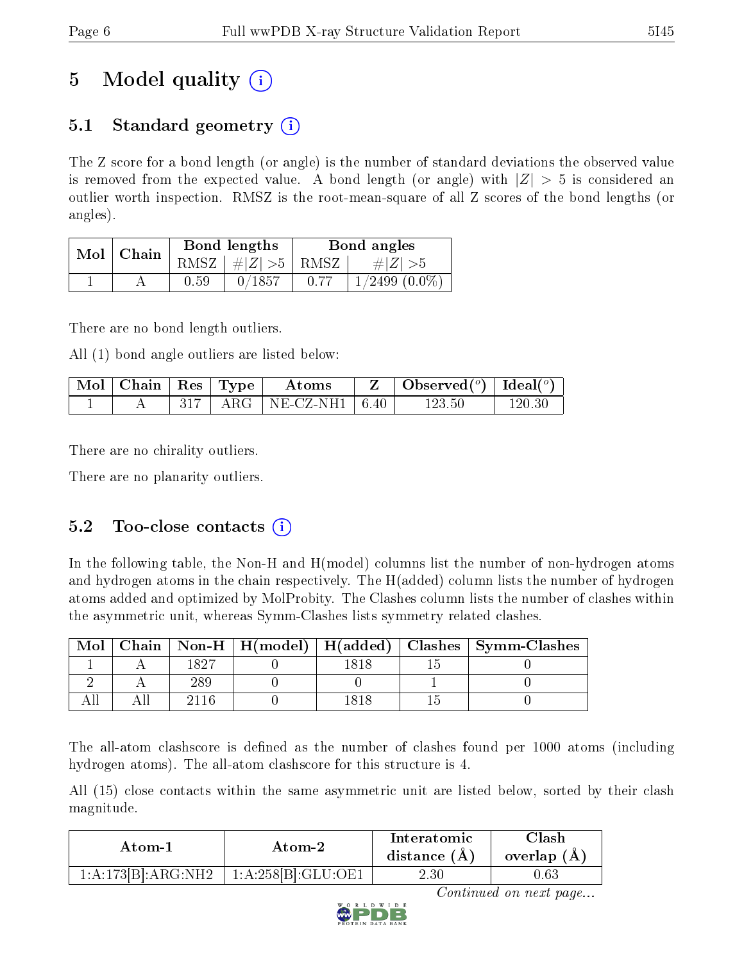# 5 Model quality  $(i)$

### 5.1 Standard geometry  $\overline{()}$

The Z score for a bond length (or angle) is the number of standard deviations the observed value is removed from the expected value. A bond length (or angle) with  $|Z| > 5$  is considered an outlier worth inspection. RMSZ is the root-mean-square of all Z scores of the bond lengths (or angles).

| Mol | Chain |      | Bond lengths | Bond angles |                   |  |
|-----|-------|------|--------------|-------------|-------------------|--|
|     |       | RMSZ | $\# Z >5$    | ∣ RMSZ      | $\# Z  > 5$       |  |
|     |       | 0.59 | 0/1857       |             | $1/2499$ $(0.0\%$ |  |

There are no bond length outliers.

All (1) bond angle outliers are listed below:

| $\mid$ Mol $\mid$ Chain $\mid$ Res $\mid$ Type $\mid$ |  | Atoms                          | Observed( $^o$ )   Ideal( $^o$ ) |        |
|-------------------------------------------------------|--|--------------------------------|----------------------------------|--------|
|                                                       |  | $+$ ARG $+$ NE-CZ-NH1 $+$ 6.40 | $123.50\,$                       | 120 30 |

There are no chirality outliers.

There are no planarity outliers.

### 5.2 Too-close contacts  $(i)$

In the following table, the Non-H and H(model) columns list the number of non-hydrogen atoms and hydrogen atoms in the chain respectively. The H(added) column lists the number of hydrogen atoms added and optimized by MolProbity. The Clashes column lists the number of clashes within the asymmetric unit, whereas Symm-Clashes lists symmetry related clashes.

| Mol |              |  | Chain   Non-H   H(model)   H(added)   Clashes   Symm-Clashes |
|-----|--------------|--|--------------------------------------------------------------|
|     | ഥ വ <i>ച</i> |  |                                                              |
|     |              |  |                                                              |
|     |              |  |                                                              |

The all-atom clashscore is defined as the number of clashes found per 1000 atoms (including hydrogen atoms). The all-atom clashscore for this structure is 4.

All (15) close contacts within the same asymmetric unit are listed below, sorted by their clash magnitude.

| Atom-1             | Atom-2             | Interatomic<br>distance $(A)$ | Clash<br>overlap $(A)$ |  |
|--------------------|--------------------|-------------------------------|------------------------|--|
| 1:A:173[B]:ARG:NH2 | 1:A:258[B]:GLU:OE1 | 2.30                          | $0.63\,$               |  |

Continued on next page...

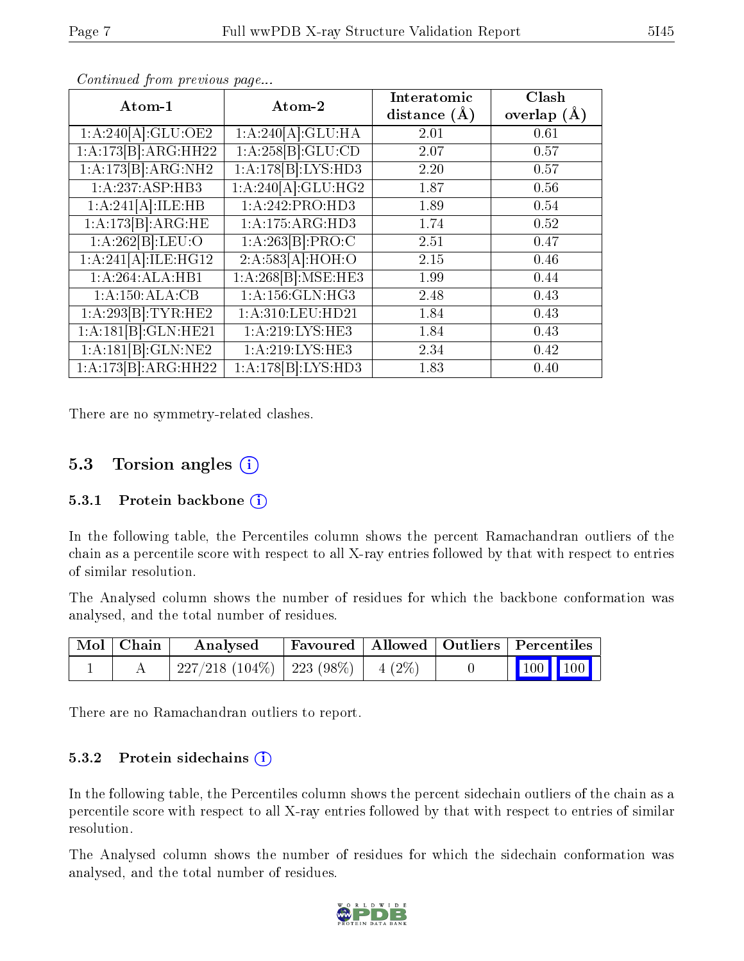| Atom-1              | Atom-2              | Interatomic      | Clash           |
|---------------------|---------------------|------------------|-----------------|
|                     |                     | distance $(\AA)$ | overlap $(\AA)$ |
| 1:A:240[A]:GLU:OE2  | 1:A:240[A]:GLU:HA   | 2.01             | 0.61            |
| 1:A:173[B]:ARG:HH22 | 1:A:258[B]:GLU:CD   | 2.07             | 0.57            |
| 1:A:173[B]:ARG:NH2  | 1:A:178[B]:LYS:HD3  | 2.20             | 0.57            |
| 1:A:237:ASP:HB3     | 1:A:240[A]:GLU:HG2  | 1.87             | 0.56            |
| 1:A:241[A]:ILE:HB   | 1:A:242:PRO:HD3     | 1.89             | 0.54            |
| 1:A:173[B]:ARG:HE   | 1:A:175:ARG:HD3     | 1.74             | 0.52            |
| 1:A:262[B]:LEU:O    | 1:A:263[B]:PRO:C    | 2.51             | 0.47            |
| 1:A:241[A]:ILE:HG12 | 2:A:583[A]:HOH:O    | 2.15             | 0.46            |
| 1:A:264:ALA:HB1     | 1:A:268[B]:MSE:HE3  | 1.99             | 0.44            |
| 1:A:150:ALA:CB      | 1: A: 156: GLN: HG3 | 2.48             | 0.43            |
| 1:A:293[B]:TYR:HE2  | 1:A:310:LEU:HD21    | 1.84             | 0.43            |
| 1:A:181[B]:GLN:HE21 | 1: A:219: LYS: HE3  | 1.84             | 0.43            |
| 1:A:181[B]:GLN:NE2  | 1:A:219:LYS:HE3     | 2.34             | 0.42            |
| 1:A:173[B]:ARG:HH22 | 1:A:178[B]:LYS:HD3  | 1.83             | 0.40            |

Continued from previous page...

There are no symmetry-related clashes.

#### 5.3 Torsion angles (i)

#### 5.3.1 Protein backbone  $(i)$

In the following table, the Percentiles column shows the percent Ramachandran outliers of the chain as a percentile score with respect to all X-ray entries followed by that with respect to entries of similar resolution.

The Analysed column shows the number of residues for which the backbone conformation was analysed, and the total number of residues.

| $\mid$ Mol $\mid$ Chain $\mid$ | Analysed                                 | Favoured   Allowed   Outliers   Percentiles |  |                                                            |  |
|--------------------------------|------------------------------------------|---------------------------------------------|--|------------------------------------------------------------|--|
|                                | $227/218$ (104\%)   223 (98\%)   4 (2\%) |                                             |  | $\begin{array}{ c c c c }\n\hline\n100 & 100\n\end{array}$ |  |

There are no Ramachandran outliers to report.

#### 5.3.2 Protein sidechains  $(i)$

In the following table, the Percentiles column shows the percent sidechain outliers of the chain as a percentile score with respect to all X-ray entries followed by that with respect to entries of similar resolution.

The Analysed column shows the number of residues for which the sidechain conformation was analysed, and the total number of residues.

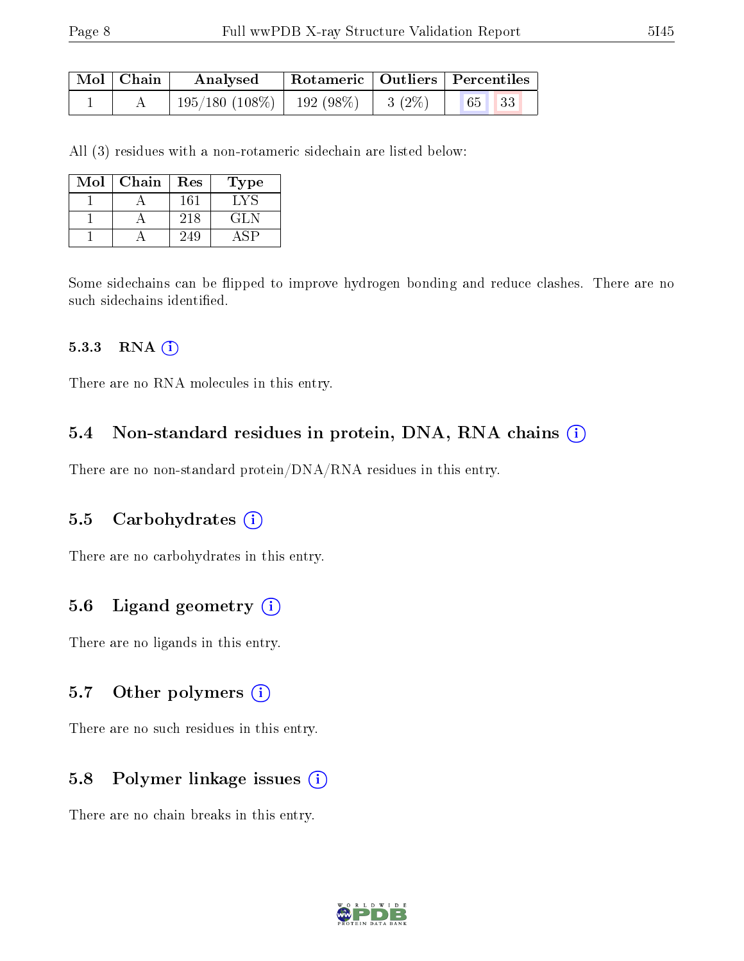| $\mid$ Mol $\mid$ Chain | Analysed                           |          | Rotameric   Outliers   Percentiles |
|-------------------------|------------------------------------|----------|------------------------------------|
|                         | $195/180$ $(108\%)$   192 $(98\%)$ | $3(2\%)$ |                                    |

All (3) residues with a non-rotameric sidechain are listed below:

| Mol | Chain | Res | Type  |
|-----|-------|-----|-------|
|     |       | 161 | L V S |
|     |       | 218 | GLN   |
|     |       | 249 |       |

Some sidechains can be flipped to improve hydrogen bonding and reduce clashes. There are no such sidechains identified.

#### 5.3.3 RNA (i)

There are no RNA molecules in this entry.

#### 5.4 Non-standard residues in protein, DNA, RNA chains (i)

There are no non-standard protein/DNA/RNA residues in this entry.

#### 5.5 Carbohydrates (i)

There are no carbohydrates in this entry.

#### 5.6 Ligand geometry  $(i)$

There are no ligands in this entry.

#### 5.7 [O](https://www.wwpdb.org/validation/2017/XrayValidationReportHelp#nonstandard_residues_and_ligands)ther polymers (i)

There are no such residues in this entry.

#### 5.8 Polymer linkage issues (i)

There are no chain breaks in this entry.

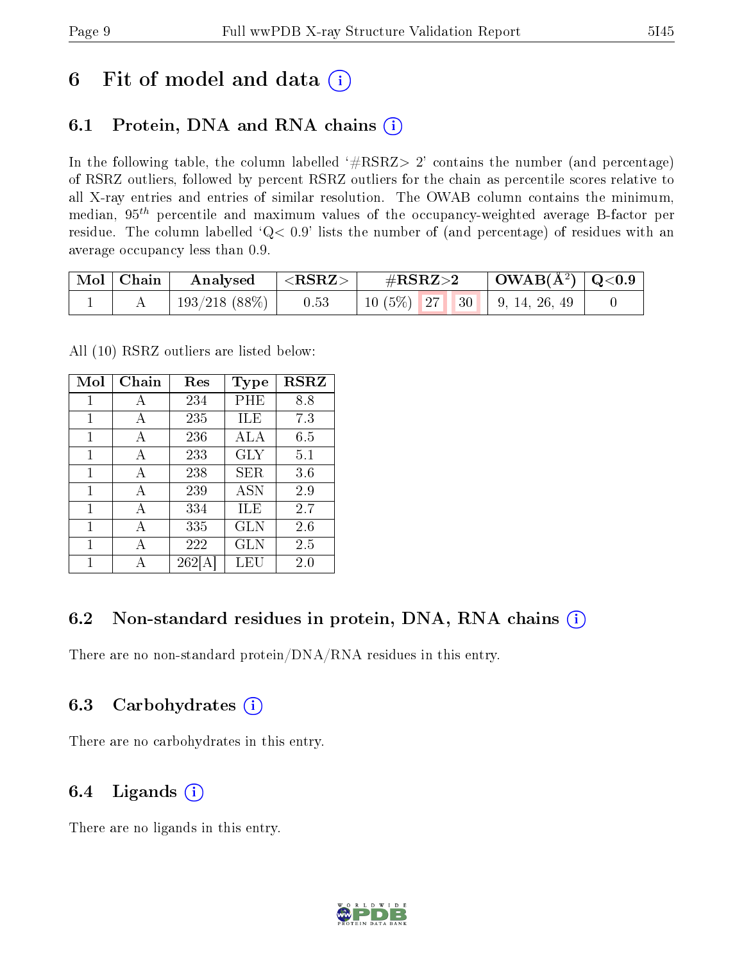## 6 Fit of model and data  $(i)$

### 6.1 Protein, DNA and RNA chains  $(i)$

In the following table, the column labelled  $#RSRZ> 2'$  contains the number (and percentage) of RSRZ outliers, followed by percent RSRZ outliers for the chain as percentile scores relative to all X-ray entries and entries of similar resolution. The OWAB column contains the minimum, median,  $95<sup>th</sup>$  percentile and maximum values of the occupancy-weighted average B-factor per residue. The column labelled  $Q< 0.9$  lists the number of (and percentage) of residues with an average occupancy less than 0.9.

| $\mid$ Mol $\mid$ Chain | Analysed      | $\mid$ <rsrz> <math>\mid</math></rsrz> | $\#\mathrm{RSRZ}{>}2$         | $\mid$ OWAB(Å <sup>2</sup> ) $\mid$ Q<0.9 $\mid$ |  |
|-------------------------|---------------|----------------------------------------|-------------------------------|--------------------------------------------------|--|
|                         | 193/218 (88%) | 0.53                                   | $10(5\%)$ 27 30 9, 14, 26, 49 |                                                  |  |

All (10) RSRZ outliers are listed below:

| Mol | Chain | Res | Type         | <b>RSRZ</b> |
|-----|-------|-----|--------------|-------------|
| 1   | A     | 234 | PHE          | 8.8         |
| 1   | A     | 235 | ILE          | 7.3         |
| 1   | А     | 236 | ALA          | 6.5         |
| 1   | A     | 233 | GLY          | 5.1         |
| 1   | А     | 238 | SER          | 3.6         |
| 1   | A     | 239 | <b>ASN</b>   | 2.9         |
| 1   | A     | 334 | ILE          | 2.7         |
| 1   | A     | 335 | GLN          | 2.6         |
| 1   | А     | 222 | $_{\rm GLN}$ | 2.5         |
| 1   |       | 262 | LEU          | 2.0         |

### 6.2 Non-standard residues in protein, DNA, RNA chains (i)

There are no non-standard protein/DNA/RNA residues in this entry.

### 6.3 Carbohydrates (i)

There are no carbohydrates in this entry.

### 6.4 Ligands  $(i)$

There are no ligands in this entry.